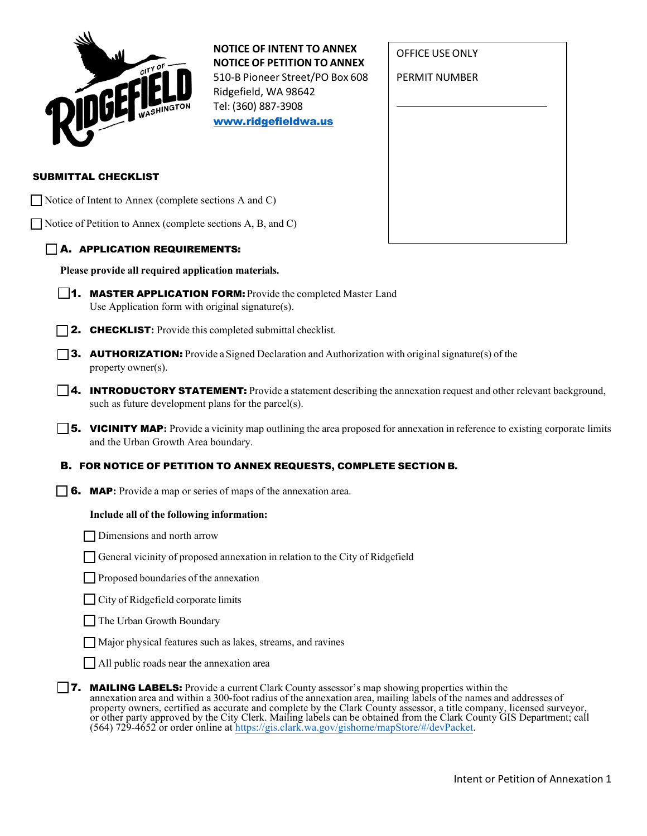| CITY OF<br>WASHINGTON |
|-----------------------|
|                       |

**NOTICE OF INTENT TO ANNEX NOTICE OF PETITION TO ANNEX** 510-B Pioneer Street/PO Box 608 Ridgefield, WA 98642 Tel: (360) 887-3908

[www.ridgefieldwa.us](http://www.ridgefieldwa.us/)

| OFFICE USE ONLY |
|-----------------|
| PERMIT NUMBER   |
|                 |
|                 |
|                 |
|                 |
|                 |

## SUBMITTAL CHECKLIST

Notice of Intent to Annex (complete sections A and C)

Notice of Petition to Annex (complete sections A, B, and C)

# A. APPLICATION REQUIREMENTS:

**Please provide all required application materials.**

- **1. MASTER APPLICATION FORM:** Provide the completed Master Land Use Application form with original signature(s).
- **2. CHECKLIST:** Provide this completed submittal checklist.
- **3. AUTHORIZATION:** Provide a Signed Declaration and Authorization with original signature(s) of the property owner(s).
- **4. INTRODUCTORY STATEMENT:** Provide a statement describing the annexation request and other relevant background, such as future development plans for the parcel(s).
- **5. VICINITY MAP:** Provide a vicinity map outlining the area proposed for annexation in reference to existing corporate limits and the Urban Growth Area boundary.

# B. FOR NOTICE OF PETITION TO ANNEX REQUESTS, COMPLETE SECTION B.

6. MAP**:** Provide a map or series of maps of the annexation area.

# **Include all of the following information:**

Dimensions and north arrow

General vicinity of proposed annexation in relation to the City of Ridgefield

**Proposed boundaries of the annexation** 

City of Ridgefield corporate limits

The Urban Growth Boundary

Major physical features such as lakes, streams, and ravines

All public roads near the annexation area

**7.** MAILING LABELS: Provide a current Clark County assessor's map showing properties within the annexation area and within a 300-foot radius of the annexation area, mailing labels of the names and addresses of property owners, certified as accurate and complete by the Clark County assessor, a title company, licensed surveyor, or other party approved by the City Clerk. Mailing labels can be obtained from the Clark County GIS Department; call (564) 729-4652 or order online at [https://gis.clark.wa.gov/gishome/mapStore/#/devPacket.](https://gis.clark.wa.gov/gishome/mapStore/#/devPacket)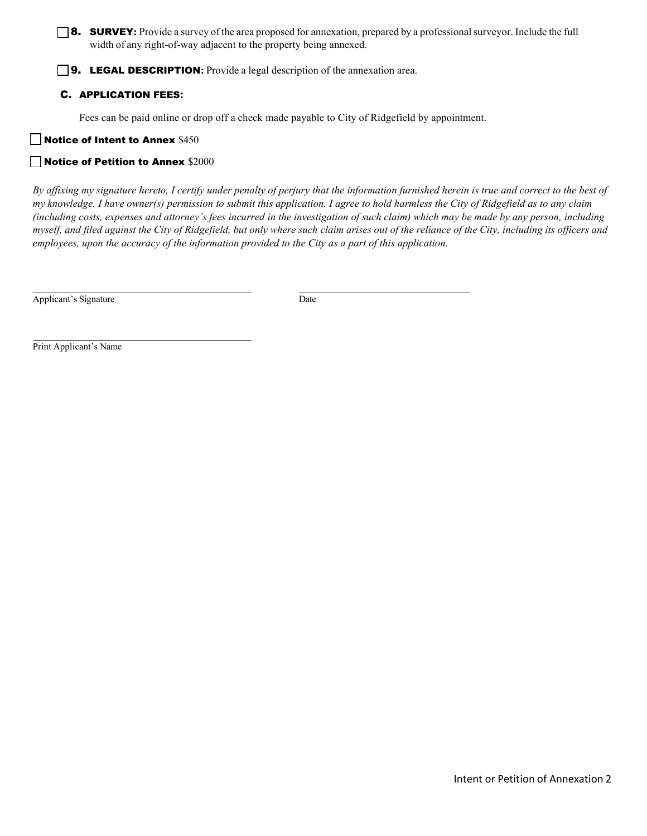# **8.** SURVEY: Provide a survey of the area proposed for annexation, prepared by a professional surveyor. Include the full width of any right-of-way adjacent to the property being annexed.

**9. LEGAL DESCRIPTION:** Provide a legal description of the annexation area.

## C. APPLICATION FEES**:**

Fees can be paid online or drop off a check made payable to City of Ridgefield by appointment.

## Notice of Intent to Annex \$450

## Notice of Petition to Annex \$2000

*By affixing my signature hereto, I certify under penalty of perjury that the information furnished herein is true and correct to the best of my knowledge. I have owner(s) permission to submit this application. I agree to hold harmless the City of Ridgefield as to any claim (including costs, expenses and attorney's fees incurred in the investigation of such claim) which may be made by any person, including*  myself, and filed against the City of Ridgefield, but only where such claim arises out of the reliance of the City, including its officers and *employees, upon the accuracy of the information provided to the City as a part of this application.*

Applicant's Signature Date

Print Applicant's Name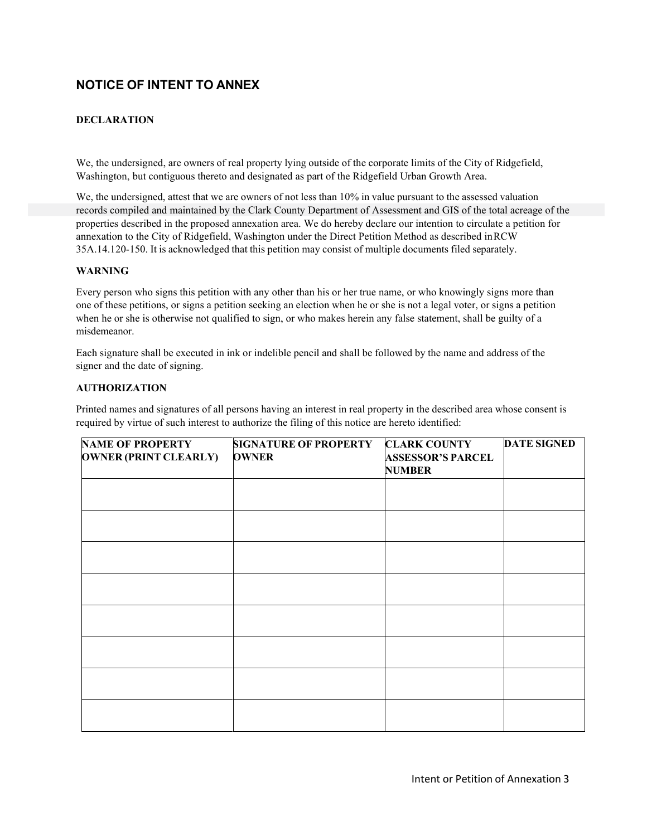# **NOTICE OF INTENT TO ANNEX**

## **DECLARATION**

We, the undersigned, are owners of real property lying outside of the corporate limits of the City of Ridgefield, Washington, but contiguous thereto and designated as part of the Ridgefield Urban Growth Area.

We, the undersigned, attest that we are owners of not less than 10% in value pursuant to the assessed valuation records compiled and maintained by the Clark County Department of Assessment and GIS of the total acreage of the properties described in the proposed annexation area. We do hereby declare our intention to circulate a petition for annexation to the City of Ridgefield, Washington under the Direct Petition Method as described inRCW 35A.14.120-150. It is acknowledged that this petition may consist of multiple documents filed separately.

#### **WARNING**

Every person who signs this petition with any other than his or her true name, or who knowingly signs more than one of these petitions, or signs a petition seeking an election when he or she is not a legal voter, or signs a petition when he or she is otherwise not qualified to sign, or who makes herein any false statement, shall be guilty of a misdemeanor.

Each signature shall be executed in ink or indelible pencil and shall be followed by the name and address of the signer and the date of signing.

#### **AUTHORIZATION**

Printed names and signatures of all persons having an interest in real property in the described area whose consent is required by virtue of such interest to authorize the filing of this notice are hereto identified:

| <b>NAME OF PROPERTY</b><br><b>OWNER (PRINT CLEARLY)</b> | <b>SIGNATURE OF PROPERTY</b><br><b>OWNER</b> | <b>CLARK COUNTY</b><br><b>ASSESSOR'S PARCEL</b><br><b>NUMBER</b> | <b>DATE SIGNED</b> |  |
|---------------------------------------------------------|----------------------------------------------|------------------------------------------------------------------|--------------------|--|
|                                                         |                                              |                                                                  |                    |  |
|                                                         |                                              |                                                                  |                    |  |
|                                                         |                                              |                                                                  |                    |  |
|                                                         |                                              |                                                                  |                    |  |
|                                                         |                                              |                                                                  |                    |  |
|                                                         |                                              |                                                                  |                    |  |
|                                                         |                                              |                                                                  |                    |  |
|                                                         |                                              |                                                                  |                    |  |